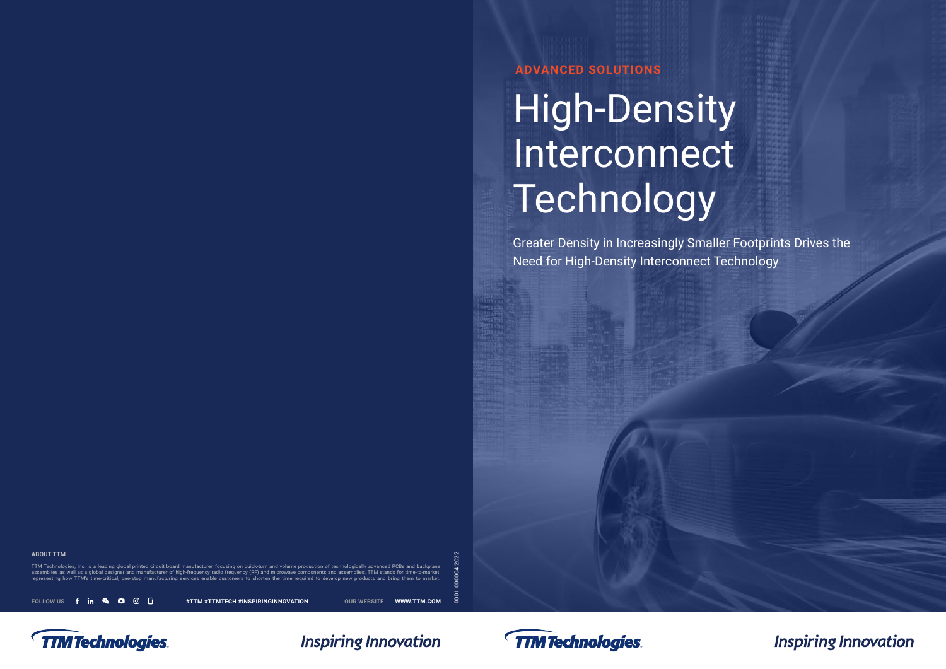**ADVANCED SOLUTIONS** 

# High-Density Interconnect Technology

Greater Density in Increasingly Smaller Footprints Drives the Need for High-Density Interconnect Technology

**ABOUT TTM** 

TTM Technologies, Inc. is a leading global printed circuit board manufacturer, focusing on quick-turn and volume production of technologically advanced PCBs and backplane assemblies as well as a global designer and manufacturer of high-frequency radio frequency (RF) and microwave components and assemblies. TTM stands for time-to-market, representing how TTM's time-critical, one-stop manufacturing services enable customers to shorten the time required to develop new products and bring them to market.

FOLLOW US **f in & D**  $\odot$  **I**  $\cdots$  #TTM #TTMTECH #INSPIRINGINNOVATION OUR WEBSITE <WWW.TTM.COM>

0001-000004-2022







**Inspiring Innovation**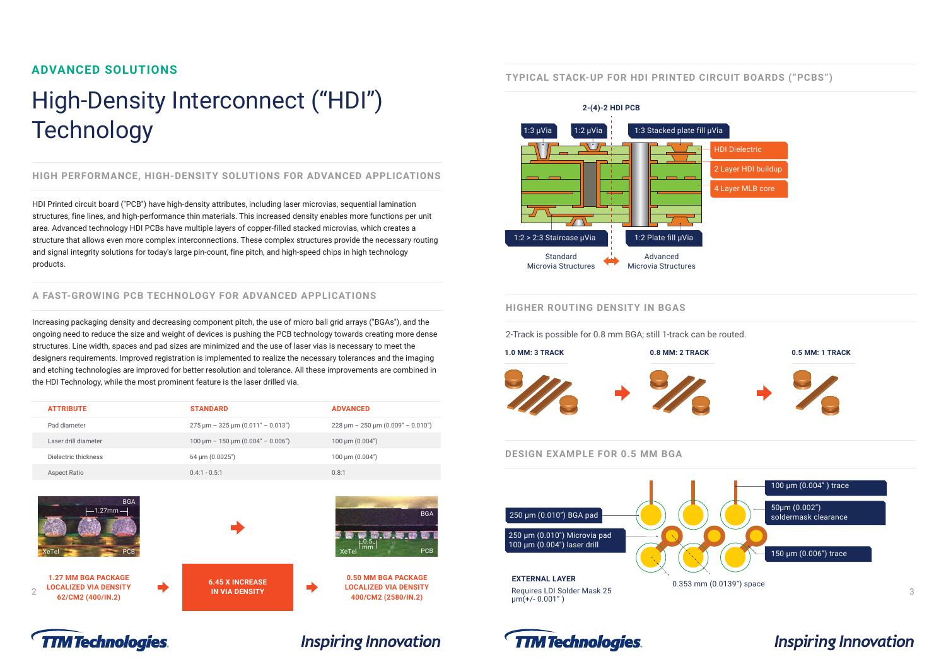## High-Density Interconnect ("HDI") **Particle 2-(4)-2 HDI PCB Technology**

## **ADVANCED SOLUTIONS TYPICAL STACK-UP FOR HDI PRINTED CIRCUIT BOARDS ("PCBS")**

#### **HIGH PERFORMANCE, HIGH-DENSITY SOLUTIONS FOR ADVANCED APPLICATIONS**

HDI Printed circuit board ("PCB") have high-density attributes, including laser microvias, sequential lamination structures, fine lines, and high-performance thin materials. This increased density enables more functions per unit area. Advanced technology HDI PCBs have multiple layers of copper-filled stacked microvias, which creates a structure that allows even more complex interconnections. These complex structures provide the necessary routing and signal integrity solutions for today's large pin-count, fine pitch, and high-speed chips in high technology standard Standard Advanced products.



#### **A FAST-GROWING PCB TECHNOLOGY FOR ADVANCED APPLICATIONS**

#### **HIGHER ROUTING DENSITY IN BGAS**



#### **DESIGN EXAMPLE FOR 0.5 MM BGA**

Increasing packaging density and decreasing component pitch, the use of micro ball grid arrays ("BGAs"), and the ongoing need to reduce the size and weight of devices is pushing the PCB technology towards creating more dense 2-Track is possible for 0.8 mm BGA; still 1-track can be routed. structures. Line width, spaces and pad sizes are minimized and the use of laser vias is necessary to meet the<br>
designers requirements. Improved registration is implemented to realize the necessary tolerances and the imagin and etching technologies are improved for better resolution and tolerance. All these improvements are combined in the HDI Technology, while the most prominent feature is the laser drilled via.

| <b>ATTRIBUTE</b>     | <b>STANDARD</b>                             | <b>ADVANCED</b>                                                       |
|----------------------|---------------------------------------------|-----------------------------------------------------------------------|
| Pad diameter         | $275 \mu m - 325 \mu m (0.011" - 0.013")$   | $228 \text{ }\mu\text{m} - 250 \text{ }\mu\text{m}$ (0.009" - 0.010") |
| Laser drill diameter | $100 \mu m - 150 \mu m (0.004'' - 0.006'')$ | 100 $\mu$ m (0.004")                                                  |
| Dielectric thickness | $64 \mu m (0.0025)$                         | $100 \mu m (0.004)$                                                   |
| <b>Aspect Ratio</b>  | $0.4:1 - 0.5:1$                             | 0.8:1                                                                 |







**IN VIA DENSITY** 









**Inspiring Innovation** 



62/CM2 (400/IN.2)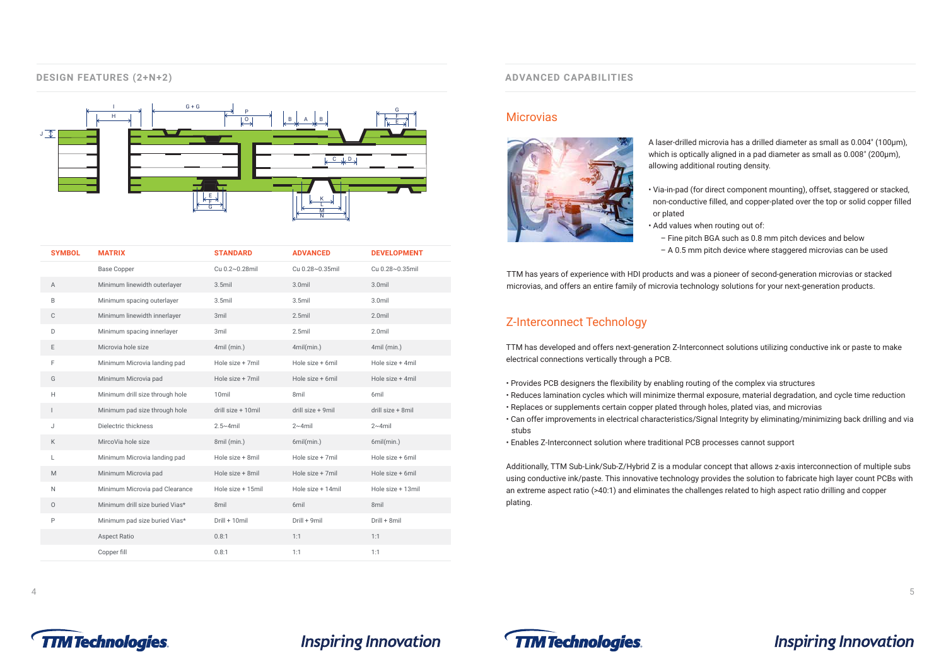#### **DESIGN FEATURES (2+N+2)**



| <b>SYMBOL</b>            | <b>MATRIX</b>                   | <b>STANDARD</b>    | <b>ADVANCED</b>   | <b>DEVELOPMENT</b> |
|--------------------------|---------------------------------|--------------------|-------------------|--------------------|
|                          | <b>Base Copper</b>              | Cu 0.2~0.28mil     | Cu 0.28~0.35mil   | Cu 0.28~0.35mil    |
| Α                        | Minimum linewidth outerlayer    | $3.5$ mil          | 3.0mil            | 3.0mil             |
| B                        | Minimum spacing outerlayer      | $3.5$ mil          | $3.5$ mil         | $3.0$ mil          |
| C                        | Minimum linewidth innerlayer    | 3mil               | $2.5$ mil         | $2.0$ mil          |
| D                        | Minimum spacing innerlayer      | 3mil               | $2.5$ mil         | $2.0$ mil          |
| Е                        | Microvia hole size              | 4mil (min.)        | 4mil(min.)        | 4mil (min.)        |
| F                        | Minimum Microvia landing pad    | Hole size + 7mil   | Hole size + 6mil  | Hole size + 4mil   |
| G                        | Minimum Microvia pad            | Hole size + 7mil   | Hole size + 6mil  | Hole size + 4mil   |
| H                        | Minimum drill size through hole | 10 <sub>mil</sub>  | 8mil              | 6mil               |
| $\overline{\phantom{a}}$ | Minimum pad size through hole   | drill size + 10mil | drill size + 9mil | drill size + 8mil  |
| J                        | Dielectric thickness            | $2.5 \sim 4$ mil   | $2~4$ mil         | $2~4$ mil          |
| K                        | MircoVia hole size              | 8mil (min.)        | 6mil(min.)        | 6mil(min.)         |
| L                        | Minimum Microvia landing pad    | Hole size + 8mil   | Hole size + 7mil  | Hole size + 6mil   |
| M                        | Minimum Microvia pad            | Hole size + 8mil   | Hole size + 7mil  | Hole size + 6mil   |
| $\mathsf{N}$             | Minimum Microvia pad Clearance  | Hole size + 15mil  | Hole size + 14mil | Hole size + 13mil  |
| $\circ$                  | Minimum drill size buried Vias* | 8mil               | 6mil              | 8mil               |
| P                        | Minimum pad size buried Vias*   | Drill + 10mil      | Drill + 9mil      | Drill + 8mil       |
|                          | <b>Aspect Ratio</b>             | 0.8:1              | 1:1               | 1:1                |
|                          | Copper fill                     | 0.8:1              | 1:1               | 1:1                |
|                          |                                 |                    |                   |                    |

#### **ADVANCED CAPABILITIES**

#### **Microvias**



A laser-drilled microvia has a drilled diameter as small as 0.004" (100µm), which is optically aligned in a pad diameter as small as 0.008" (200µm), allowing additional routing density.

• Via-in-pad (for direct component mounting), offset, staggered or stacked, non-conductive filled, and copper-plated over the top or solid copper filled

- or plated
	- Add values when routing out of:
		-

– Fine pitch BGA such as 0.8 mm pitch devices and below – A 0.5 mm pitch device where staggered microvias can be used

## **Inspiring Innovation**

TTM has years of experience with HDI products and was a pioneer of second-generation microvias or stacked microvias, and offers an entire family of microvia technology solutions for your next-generation products.

#### Z-Interconnect Technology

TTM has developed and offers next-generation Z-Interconnect solutions utilizing conductive ink or paste to make electrical connections vertically through a PCB.

- Provides PCB designers the flexibility by enabling routing of the complex via structures
- Reduces lamination cycles which will minimize thermal exposure, material degradation, and cycle time reduction
- Replaces or supplements certain copper plated through holes, plated vias, and microvias
- Can offer improvements in electrical characteristics/Signal Integrity by eliminating/minimizing back drilling and via stubs
- Enables Z-Interconnect solution where traditional PCB processes cannot support

Additionally, TTM Sub-Link/Sub-Z/Hybrid Z is a modular concept that allows z-axis interconnection of multiple subs using conductive ink/paste. This innovative technology provides the solution to fabricate high layer count PCBs with an extreme aspect ratio (>40:1) and eliminates the challenges related to high aspect ratio drilling and copper plating.